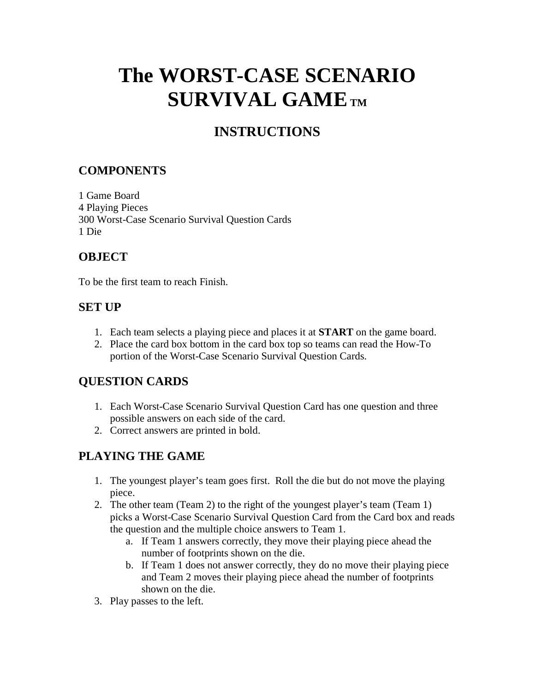# **The WORST-CASE SCENARIO SURVIVAL GAMETM**

## **INSTRUCTIONS**

#### **COMPONENTS**

1 Game Board 4 Playing Pieces 300 Worst-Case Scenario Survival Question Cards 1 Die

#### **OBJECT**

To be the first team to reach Finish.

#### **SET UP**

- 1. Each team selects a playing piece and places it at **START** on the game board.
- 2. Place the card box bottom in the card box top so teams can read the How-To portion of the Worst-Case Scenario Survival Question Cards.

#### **QUESTION CARDS**

- 1. Each Worst-Case Scenario Survival Question Card has one question and three possible answers on each side of the card.
- 2. Correct answers are printed in bold.

### **PLAYING THE GAME**

- 1. The youngest player's team goes first. Roll the die but do not move the playing piece.
- 2. The other team (Team 2) to the right of the youngest player's team (Team 1) picks a Worst-Case Scenario Survival Question Card from the Card box and reads the question and the multiple choice answers to Team 1.
	- a. If Team 1 answers correctly, they move their playing piece ahead the number of footprints shown on the die.
	- b. If Team 1 does not answer correctly, they do no move their playing piece and Team 2 moves their playing piece ahead the number of footprints shown on the die.
- 3. Play passes to the left.